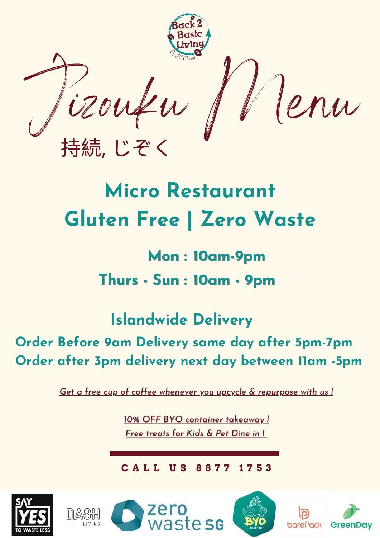Jizouku Menu 持続, じぞく

# **Micro Restaurant Gluten Free | Zero Waste**

## **Mon : 10am-9pm Thurs - Sun : 10am - 9pm**

### **Islandwide Delivery**

### **Order Before 9am Delivery same day after 5pm-7pm Order after 3pm delivery next day between 11am -5pm**

*Get a free cup of coffee whenever you upcycle & repurpose with us !*

*10% OFF BYO container takeaway ! Free treats for Kids & Pet Dine in !*

**C A L L U S 8 8 7 7 1 7 5 3**







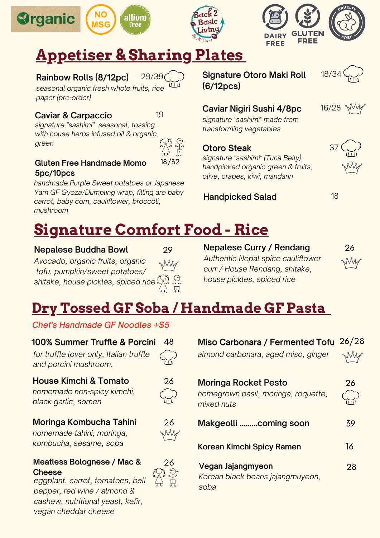





### **Appetiser & Sharing Plates**

### Rainbow Rolls (8/12pc)



*seasonal organic fresh whole fruits, rice paper (pre-order)*

### Caviar & Carpaccio 19

*signature "sashimi"- seasonal, tossing with house herbs infused oil & organic green*



#### Gluten Free Handmade Momo 5pc/10pcs

*handmade Purple Sweet potatoes or Japanese Yam GF Gyoza/Dumpling wrap, filling are baby carrot, baby corn, cauliflower, broccoli, mushroom*

Signature Otoro Maki Roll (6/12pcs)



16/28

37

### Caviar Nigiri Sushi 4/8pc

*signature "sashimi" made from transforming vegetables*

### Otoro Steak

*signature "sashimi" (Tuna Belly), handpicked organic green & fruits, olive, crapes, kiwi, mandarin*

### **Handpicked Salad 18** 18



### **Signature Comfort Food - Rice**

### Nepalese Buddha Bowl

*Avocado, organic fruits, organic tofu, pumpkin/sweet potatoes/ shitake, house pickles, spiced rice*



Nepalese Curry / Rendang *Authentic Nepal spice cauliflower curr / House Rendang, shitake, house pickles, spiced rice*



### **Dry Tossed GF Soba / Handmade GF Pasta**

*Chef's Handmade GF Noodles +\$5*

| <b>100% Summer Truffle &amp; Porcini</b>                                                                       |    |
|----------------------------------------------------------------------------------------------------------------|----|
| for truffle lover only, Italian truffle<br>and porcini mushroom,                                               |    |
| <b>House Kimchi &amp; Tomato</b><br>homemade non-spicy kimchi,<br>black garlic, somen                          | 26 |
| Moringa Kombucha Tahini<br>homemade tahini, moringa,<br>kombucha, sesame, soba                                 | 26 |
| Meatless Bolognese / Mac &<br><b>Cheese</b><br>eggplant, carrot, tomatoes, bell<br>pepper, red wine / almond & | 26 |

*cashew, nutritional yeast, kefir,*

*vegan cheddar cheese*

| Miso Carbonara / Fermented Tofu 26/28<br>almond carbonara, aged miso, ginger |    |
|------------------------------------------------------------------------------|----|
| Moringa Rocket Pesto<br>homegrown basil, moringa, roquette,<br>mixed nuts    | 26 |
| Makgeolli coming soon                                                        | 39 |
| Korean Kimchi Spicy Ramen                                                    | 16 |
| Vegan Jajangmyeon<br>Korean black beans jajangmuyeon,<br>soba                | 28 |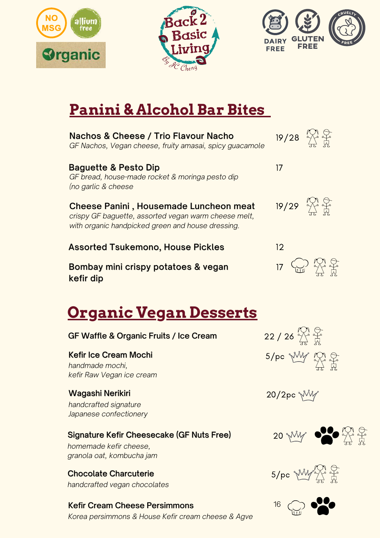





### **Panini & Alcohol Bar Bites**

| Nachos & Cheese / Trio Flavour Nacho<br>GF Nachos, Vegan cheese, fruity amasai, spicy guacamole                                                     | $19/28$ $\overset{\text{KM}}{\rightarrow}$ $\overset{\text{G}}{\rightarrow}$ |
|-----------------------------------------------------------------------------------------------------------------------------------------------------|------------------------------------------------------------------------------|
| <b>Baguette &amp; Pesto Dip</b><br>GF bread, house-made rocket & moringa pesto dip<br>(no garlic & cheese                                           | 17                                                                           |
| Cheese Panini, Housemade Luncheon meat<br>crispy GF baguette, assorted vegan warm cheese melt,<br>with organic handpicked green and house dressing. | $19/29$ $\frac{10}{12}$ $\frac{6}{11}$                                       |
| <b>Assorted Tsukemono, House Pickles</b>                                                                                                            | 12                                                                           |
| Bombay mini crispy potatoes & vegan<br>kefir dip                                                                                                    | 17 W X F                                                                     |
| <u> Organic Vegan Desserts</u>                                                                                                                      |                                                                              |
| GF Waffle & Organic Fruits / Ice Cream                                                                                                              | $22/26 \frac{M}{45} \frac{G}{R}$                                             |
| <b>Kefir Ice Cream Mochi</b><br>handmade mochi,<br>kefir Raw Vegan ice cream                                                                        | 5/pc <i>WW 100</i>                                                           |
| Wagashi Nerikiri<br>handcrafted signature<br>Japanese confectionery                                                                                 | 20/2pc MW                                                                    |
| Signature Kefir Cheesecake (GF Nuts Free)<br>homemade kefir cheese,<br>granola oat, kombucha jam                                                    | 20 My 000 H 7                                                                |
| <b>Chocolate Charcuterie</b><br>handcrafted vegan chocolates                                                                                        | 5/pc wil                                                                     |
| Kefir Cream Cheese Persimmons<br>Karoa parsimmans & Hauso Kofir croam choose & Agus                                                                 | 16                                                                           |

*Korea persimmons & House Kefir cream cheese & Agve*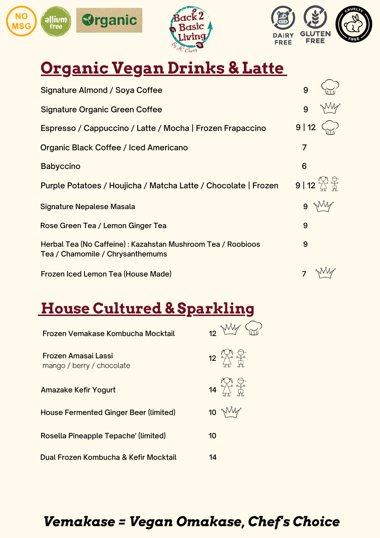





### **Organic Vegan Drinks & Latte**

| Signature Almond / Soya Coffee                                                                  | 9                                                                           |
|-------------------------------------------------------------------------------------------------|-----------------------------------------------------------------------------|
| <b>Signature Organic Green Coffee</b>                                                           | 9                                                                           |
| Espresso / Cappuccino / Latte / Mocha   Frozen Frapaccino                                       | 9 12                                                                        |
| Organic Black Coffee / Iced Americano                                                           | 7                                                                           |
| <b>Babyccino</b>                                                                                | 6                                                                           |
| Purple Potatoes / Houjicha / Matcha Latte / Chocolate   Frozen                                  | $9 \mid 12 \overset{N\wedge 1}{\underset{5}{\rightleftarrows}} \frac{5}{M}$ |
| Signature Nepalese Masala                                                                       |                                                                             |
| Rose Green Tea / Lemon Ginger Tea                                                               | 9                                                                           |
| Herbal Tea (No Caffeine): Kazahstan Mushroom Tea / Roobioos<br>Tea / Chamomile / Chrysanthemums | 9                                                                           |
| Frozen Iced Lemon Tea (House Made)                                                              |                                                                             |

### **House Cultured & Sparkling**

| Frozen Vemakase Kombucha Mocktail                |    | 12 Mily               |
|--------------------------------------------------|----|-----------------------|
| Frozen Amasai Lassi<br>mango / berry / chocolate |    | $12 \frac{N}{11}$     |
| <b>Amazake Kefir Yogurt</b>                      |    | $14$ $\frac{100}{11}$ |
| <b>House Fermented Ginger Beer (limited)</b>     |    | $10 \sqrt[3]{10}$     |
| Rosella Pineapple Tepache' (limited)             | 10 |                       |
| Dual Frozen Kombucha & Kefir Mocktail            | 14 |                       |

### *Vemakase = Vegan Omakase, Chef's Choice*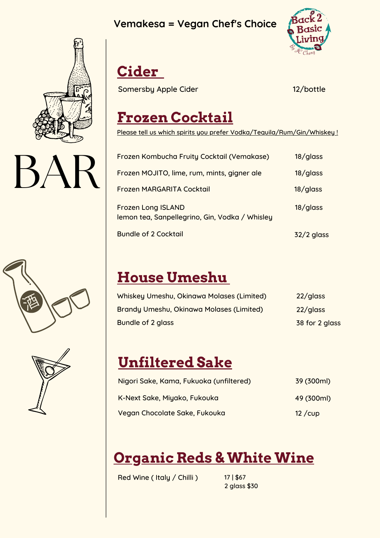### **Vemakesa = Vegan Chef's Choice**



 $BA$ 







### **Cider**

Somersby Apple Cider 12/bottle

### **Frozen Cocktail**

Please tell us which spirits you prefer Vodka/Tequila/Rum/Gin/Whiskey!

| Frozen Kombucha Fruity Cocktail (Vemakase)                                  | $18$ /glass  |
|-----------------------------------------------------------------------------|--------------|
| Frozen MOJITO, lime, rum, mints, gigner ale                                 | 18/glass     |
| Frozen MARGARITA Cocktail                                                   | 18/glass     |
| <b>Frozen Long ISLAND</b><br>lemon tea, Sanpellegrino, Gin, Vodka / Whisley | 18/glass     |
| <b>Bundle of 2 Cocktail</b>                                                 | $32/2$ glass |

### **House Umeshu**

| Whiskey Umeshu, Okinawa Molases (Limited) | 22/glass       |
|-------------------------------------------|----------------|
| Brandy Umeshu, Okinawa Molases (Limited)  | 22/glass       |
| Bundle of 2 glass                         | 38 for 2 glass |

### **Unfiltered Sake**

| Nigori Sake, Kama, Fukuoka (unfiltered) | 39 (300ml) |
|-----------------------------------------|------------|
| K-Next Sake, Miyako, Fukouka            | 49 (300ml) |
| Vegan Chocolate Sake, Fukouka           | $12$ /cup  |

### **Organic Reds & White Wine**

Red Wine ( Italy / Chilli )

17 | \$67 2 glass \$30